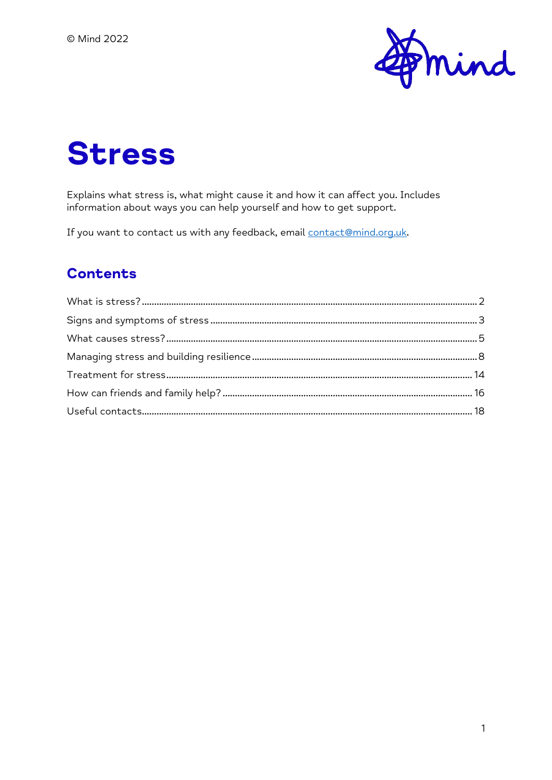

# **Stress**

Explains what stress is, what might cause it and how it can affect you. Includes information about ways you can help yourself and how to get support.

If you want to contact us with any feedback, email contact@mind.org.uk.

#### **Contents**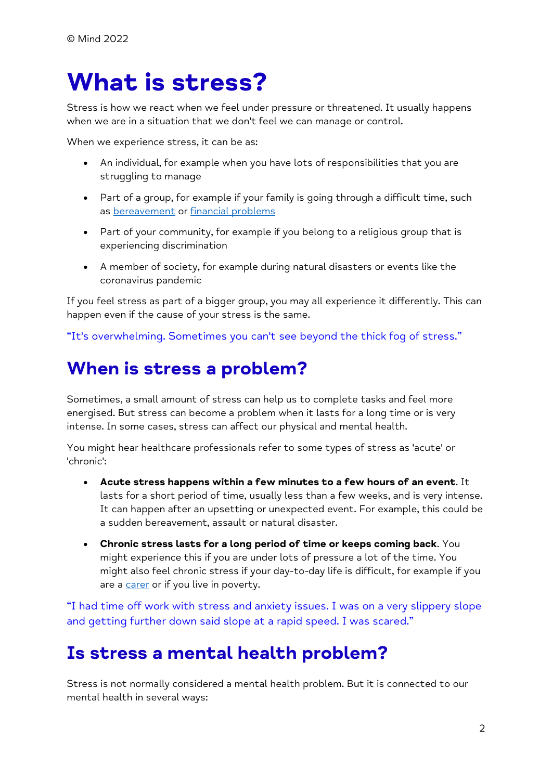## <span id="page-1-0"></span>**What is stress?**

Stress is how we react when we feel under pressure or threatened. It usually happens when we are in a situation that we don't feel we can manage or control.

When we experience stress, it can be as:

- An individual, for example when you have lots of responsibilities that you are struggling to manage
- Part of a group, for example if your family is going through a difficult time, such as [bereavement](https://www.mind.org.uk/information-support/guides-to-support-and-services/bereavement/) or [financial problems](https://www.mind.org.uk/information-support/tips-for-everyday-living/money-and-mental-health/)
- Part of your community, for example if you belong to a religious group that is experiencing discrimination
- A member of society, for example during natural disasters or events like the coronavirus pandemic

If you feel stress as part of a bigger group, you may all experience it differently. This can happen even if the cause of your stress is the same.

"It's overwhelming. Sometimes you can't see beyond the thick fog of stress."

### **When is stress a problem?**

Sometimes, a small amount of stress can help us to complete tasks and feel more energised. But stress can become a problem when it lasts for a long time or is very intense. In some cases, stress can affect our physical and mental health.

You might hear healthcare professionals refer to some types of stress as 'acute' or 'chronic':

- **Acute stress happens within a few minutes to a few hours of an event**. It lasts for a short period of time, usually less than a few weeks, and is very intense. It can happen after an upsetting or unexpected event. For example, this could be a sudden bereavement, assault or natural disaster.
- **Chronic stress lasts for a long period of time or keeps coming back**. You might experience this if you are under lots of pressure a lot of the time. You might also feel chronic stress if your day-to-day life is difficult, for example if you are a [carer](https://www.mind.org.uk/information-support/helping-someone-else/carers-friends-family-coping-support/) or if you live in poverty.

"I had time off work with stress and anxiety issues. I was on a very slippery slope and getting further down said slope at a rapid speed. I was scared."

### **Is stress a mental health problem?**

Stress is not normally considered a mental health problem. But it is connected to our mental health in several ways: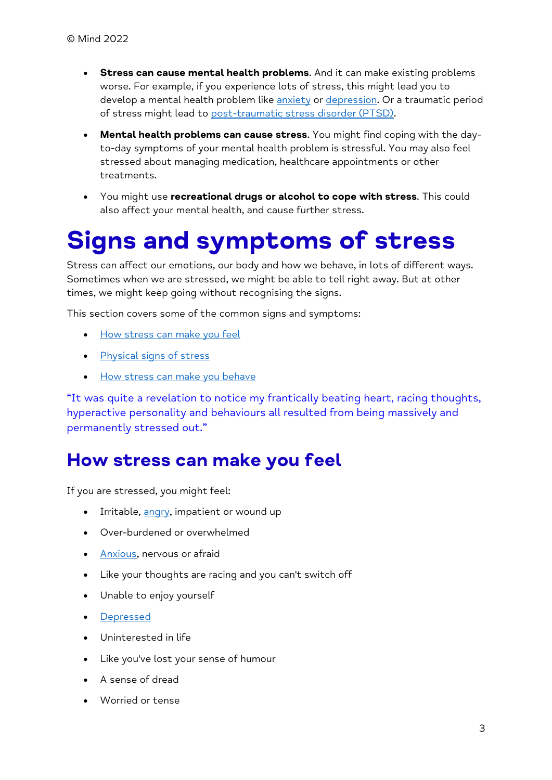- **Stress can cause mental health problems**. And it can make existing problems worse. For example, if you experience lots of stress, this might lead you to develop a mental health problem like [anxiety](https://www.mind.org.uk/information-support/types-of-mental-health-problems/anxiety-and-panic-attacks/) or [depression.](https://www.mind.org.uk/information-support/types-of-mental-health-problems/depression/) Or a traumatic period of stress might lead to [post-traumatic stress disorder \(PTSD\).](https://www.mind.org.uk/information-support/types-of-mental-health-problems/post-traumatic-stress-disorder-ptsd-and-complex-ptsd/)
- **Mental health problems can cause stress**. You might find coping with the dayto-day symptoms of your mental health problem is stressful. You may also feel stressed about managing medication, healthcare appointments or other treatments.
- You might use **recreational drugs or alcohol to cope with stress**. This could also affect your mental health, and cause further stress.

## <span id="page-2-0"></span>**Signs and symptoms of stress**

Stress can affect our emotions, our body and how we behave, in lots of different ways. Sometimes when we are stressed, we might be able to tell right away. But at other times, we might keep going without recognising the signs.

This section covers some of the common signs and symptoms:

- [How stress can make you feel](https://www.mind.org.uk/information-support/types-of-mental-health-problems/stress/signs-and-symptoms-of-stress/#HowStressCanMakeYouFeel)
- [Physical signs of stress](https://www.mind.org.uk/information-support/types-of-mental-health-problems/stress/signs-and-symptoms-of-stress/#PhysicalSignsOfStress)
- [How stress can make you behave](https://www.mind.org.uk/information-support/types-of-mental-health-problems/stress/signs-and-symptoms-of-stress/#HowStressCanMakeYouBehave)

"It was quite a revelation to notice my frantically beating heart, racing thoughts, hyperactive personality and behaviours all resulted from being massively and permanently stressed out."

### **How stress can make you feel**

If you are stressed, you might feel:

- Irritable, [angry,](https://www.mind.org.uk/information-support/types-of-mental-health-problems/anger/) impatient or wound up
- Over-burdened or overwhelmed
- [Anxious,](https://www.mind.org.uk/information-support/types-of-mental-health-problems/anxiety-and-panic-attacks/) nervous or afraid
- Like your thoughts are racing and you can't switch off
- Unable to enjoy yourself
- [Depressed](https://www.mind.org.uk/information-support/types-of-mental-health-problems/depression/)
- Uninterested in life
- Like you've lost your sense of humour
- A sense of dread
- Worried or tense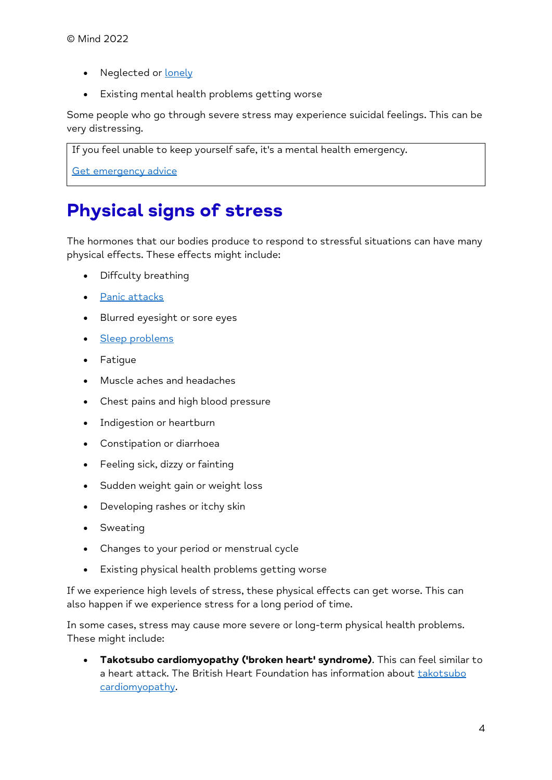- Neglected or [lonely](https://www.mind.org.uk/information-support/tips-for-everyday-living/loneliness/)
- Existing mental health problems getting worse

Some people who go through severe stress may experience suicidal feelings. This can be very distressing.

If you feel unable to keep yourself safe, it's a mental health emergency.

[Get emergency advice](https://www.mind.org.uk/information-support/guides-to-support-and-services/crisis-services/getting-help-in-a-crisis/)

## **Physical signs of stress**

The hormones that our bodies produce to respond to stressful situations can have many physical effects. These effects might include:

- Diffculty breathing
- [Panic attacks](https://www.mind.org.uk/information-support/types-of-mental-health-problems/anxiety-and-panic-attacks/panic-attacks/)
- Blurred eyesight or sore eyes
- [Sleep problems](https://www.mind.org.uk/information-support/types-of-mental-health-problems/sleep-problems/)
- Fatigue
- Muscle aches and headaches
- Chest pains and high blood pressure
- Indigestion or heartburn
- Constipation or diarrhoea
- Feeling sick, dizzy or fainting
- Sudden weight gain or weight loss
- Developing rashes or itchy skin
- Sweating
- Changes to your period or menstrual cycle
- Existing physical health problems getting worse

If we experience high levels of stress, these physical effects can get worse. This can also happen if we experience stress for a long period of time.

In some cases, stress may cause more severe or long-term physical health problems. These might include:

• **Takotsubo cardiomyopathy ('broken heart' syndrome)**. This can feel similar to a heart attack. The British Heart Foundation has information about takotsubo [cardiomyopathy.](https://www.bhf.org.uk/informationsupport/conditions/cardiomyopathy/takotsubo-cardiomyopathy)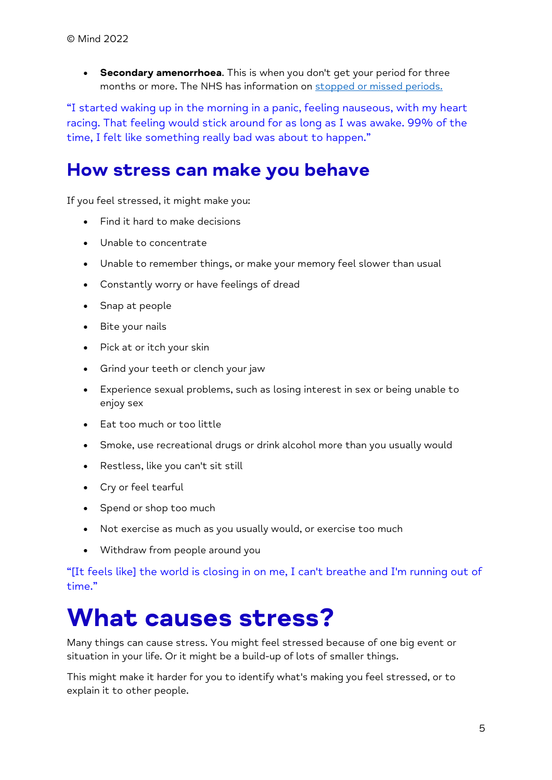• **Secondary amenorrhoea**. This is when you don't get your period for three months or more. The NHS has information on [stopped or missed periods.](https://www.nhs.uk/conditions/stopped-or-missed-periods/)

"I started waking up in the morning in a panic, feeling nauseous, with my heart racing. That feeling would stick around for as long as I was awake. 99% of the time, I felt like something really bad was about to happen."

### **How stress can make you behave**

If you feel stressed, it might make you:

- Find it hard to make decisions
- Unable to concentrate
- Unable to remember things, or make your memory feel slower than usual
- Constantly worry or have feelings of dread
- Snap at people
- Bite your nails
- Pick at or itch your skin
- Grind your teeth or clench your jaw
- Experience sexual problems, such as losing interest in sex or being unable to enjoy sex
- Eat too much or too little
- Smoke, use recreational drugs or drink alcohol more than you usually would
- Restless, like you can't sit still
- Cry or feel tearful
- Spend or shop too much
- Not exercise as much as you usually would, or exercise too much
- Withdraw from people around you

"[It feels like] the world is closing in on me, I can't breathe and I'm running out of time."

## <span id="page-4-0"></span>**What causes stress?**

Many things can cause stress. You might feel stressed because of one big event or situation in your life. Or it might be a build-up of lots of smaller things.

This might make it harder for you to identify what's making you feel stressed, or to explain it to other people.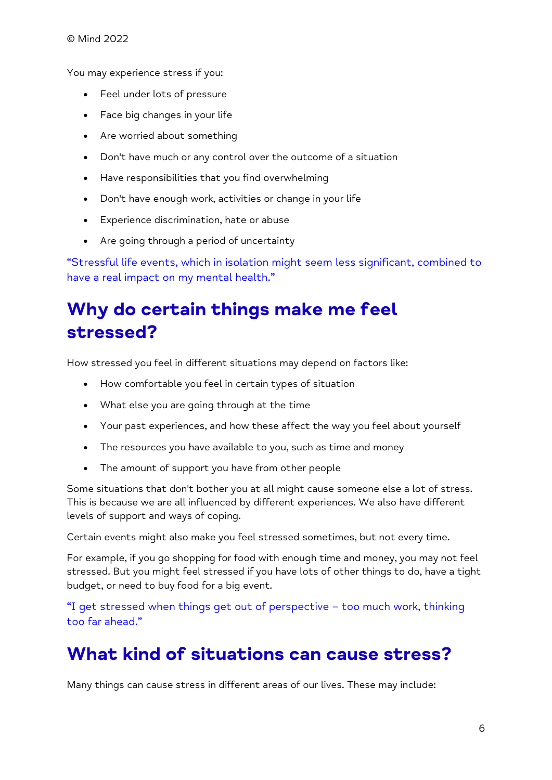You may experience stress if you:

- Feel under lots of pressure
- Face big changes in your life
- Are worried about something
- Don't have much or any control over the outcome of a situation
- Have responsibilities that you find overwhelming
- Don't have enough work, activities or change in your life
- Experience discrimination, hate or abuse
- Are going through a period of uncertainty

"Stressful life events, which in isolation might seem less significant, combined to have a real impact on my mental health."

## **Why do certain things make me feel stressed?**

How stressed you feel in different situations may depend on factors like:

- How comfortable you feel in certain types of situation
- What else you are going through at the time
- Your past experiences, and how these affect the way you feel about yourself
- The resources you have available to you, such as time and money
- The amount of support you have from other people

Some situations that don't bother you at all might cause someone else a lot of stress. This is because we are all influenced by different experiences. We also have different levels of support and ways of coping.

Certain events might also make you feel stressed sometimes, but not every time.

For example, if you go shopping for food with enough time and money, you may not feel stressed. But you might feel stressed if you have lots of other things to do, have a tight budget, or need to buy food for a big event.

"I get stressed when things get out of perspective – too much work, thinking too far ahead."

## **What kind of situations can cause stress?**

Many things can cause stress in different areas of our lives. These may include: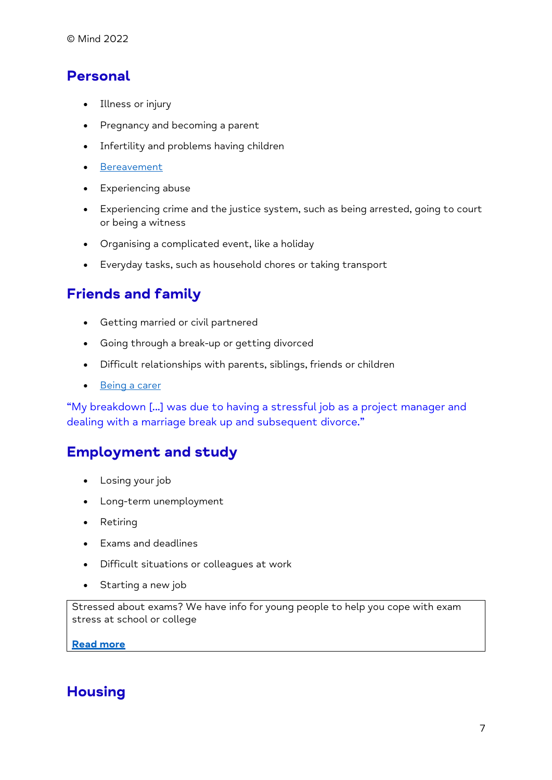#### **Personal**

- Illness or injury
- Pregnancy and becoming a parent
- Infertility and problems having children
- [Bereavement](https://www.mind.org.uk/information-support/guides-to-support-and-services/bereavement/)
- Experiencing abuse
- Experiencing crime and the justice system, such as being arrested, going to court or being a witness
- Organising a complicated event, like a holiday
- Everyday tasks, such as household chores or taking transport

#### **Friends and family**

- Getting married or civil partnered
- Going through a break-up or getting divorced
- Difficult relationships with parents, siblings, friends or children
- [Being a carer](https://www.mind.org.uk/information-support/helping-someone-else/carers-friends-family-coping-support/)

"My breakdown [...] was due to having a stressful job as a project manager and dealing with a marriage break up and subsequent divorce."

#### **Employment and study**

- Losing your job
- Long-term unemployment
- Retiring
- Exams and deadlines
- Difficult situations or colleagues at work
- Starting a new job

Stressed about exams? We have info for young people to help you cope with exam stress at school or college

**[Read more](https://www.mind.org.uk/information-support/for-children-and-young-people/exam-stress/)**

#### **Housing**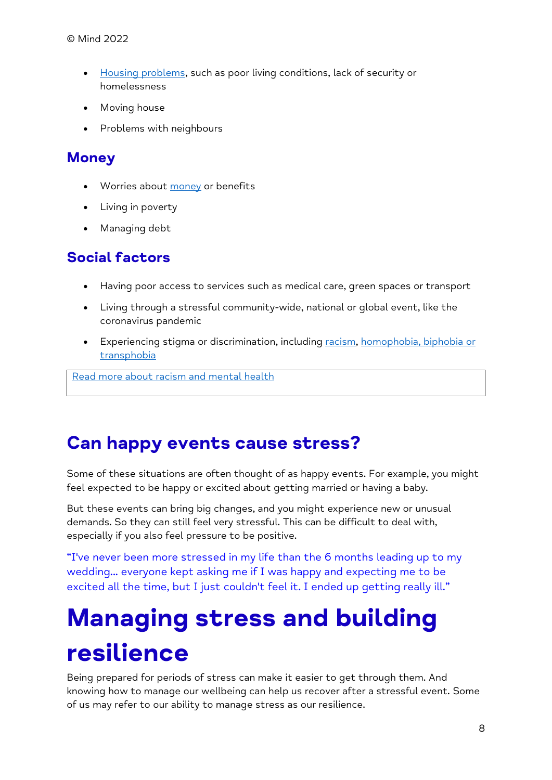- [Housing problems,](https://www.mind.org.uk/information-support/guides-to-support-and-services/housing/) such as poor living conditions, lack of security or homelessness
- Moving house
- Problems with neighbours

#### **Money**

- Worries about [money](https://www.mind.org.uk/information-support/tips-for-everyday-living/money-and-mental-health/) or benefits
- Living in poverty
- Managing debt

#### **Social factors**

- Having poor access to services such as medical care, green spaces or transport
- Living through a stressful community-wide, national or global event, like the coronavirus pandemic
- Experiencing stigma or discrimination, including [racism,](https://www.mind.org.uk/information-support/tips-for-everyday-living/racism-and-mental-health/) homophobia, biphobia or [transphobia](https://www.mind.org.uk/information-support/tips-for-everyday-living/lgbtiqplus-mental-health/)

[Read more about racism and mental health](https://www.mind.org.uk/information-support/tips-for-everyday-living/racism-and-mental-health/)

## **Can happy events cause stress?**

Some of these situations are often thought of as happy events. For example, you might feel expected to be happy or excited about getting married or having a baby.

But these events can bring big changes, and you might experience new or unusual demands. So they can still feel very stressful. This can be difficult to deal with, especially if you also feel pressure to be positive.

"I've never been more stressed in my life than the 6 months leading up to my wedding... everyone kept asking me if I was happy and expecting me to be excited all the time, but I just couldn't feel it. I ended up getting really ill."

# <span id="page-7-0"></span>**Managing stress and building resilience**

Being prepared for periods of stress can make it easier to get through them. And knowing how to manage our wellbeing can help us recover after a stressful event. Some of us may refer to our ability to manage stress as our resilience.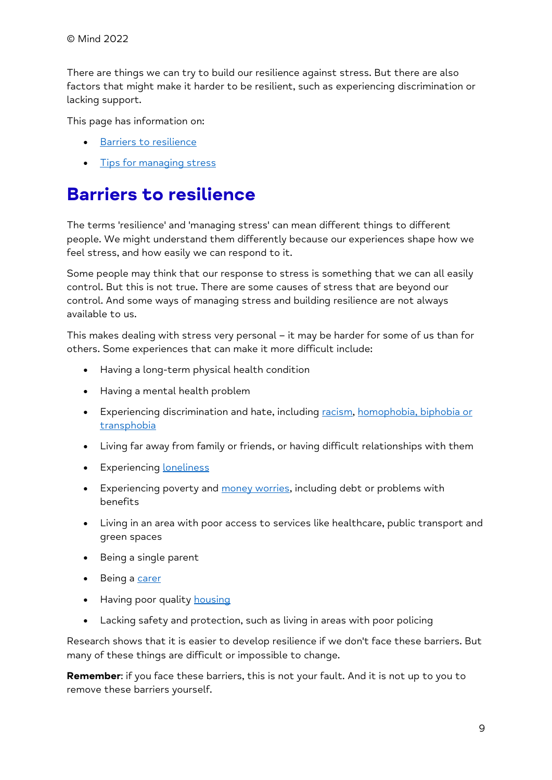There are things we can try to build our resilience against stress. But there are also factors that might make it harder to be resilient, such as experiencing discrimination or lacking support.

This page has information on:

- [Barriers to resilience](https://www.mind.org.uk/information-support/types-of-mental-health-problems/stress/managing-stress-and-building-resilience/#BarriersToResilience)
- [Tips for managing stress](https://www.mind.org.uk/information-support/types-of-mental-health-problems/stress/managing-stress-and-building-resilience/#TipsForManagingStress)

## **Barriers to resilience**

The terms 'resilience' and 'managing stress' can mean different things to different people. We might understand them differently because our experiences shape how we feel stress, and how easily we can respond to it.

Some people may think that our response to stress is something that we can all easily control. But this is not true. There are some causes of stress that are beyond our control. And some ways of managing stress and building resilience are not always available to us.

This makes dealing with stress very personal – it may be harder for some of us than for others. Some experiences that can make it more difficult include:

- Having a long-term physical health condition
- Having a mental health problem
- Experiencing discrimination and hate, including [racism,](https://www.mind.org.uk/information-support/tips-for-everyday-living/racism-and-mental-health/) homophobia, biphobia or [transphobia](https://www.mind.org.uk/information-support/tips-for-everyday-living/lgbtiqplus-mental-health/)
- Living far away from family or friends, or having difficult relationships with them
- Experiencing [loneliness](https://www.mind.org.uk/information-support/tips-for-everyday-living/loneliness/)
- Experiencing poverty and [money worries,](https://www.mind.org.uk/information-support/tips-for-everyday-living/money-and-mental-health/) including debt or problems with benefits
- Living in an area with poor access to services like healthcare, public transport and green spaces
- Being a single parent
- Being a [carer](https://www.mind.org.uk/information-support/helping-someone-else/carers-friends-family-coping-support/)
- Having poor quality [housing](https://www.mind.org.uk/information-support/guides-to-support-and-services/housing/)
- Lacking safety and protection, such as living in areas with poor policing

Research shows that it is easier to develop resilience if we don't face these barriers. But many of these things are difficult or impossible to change.

**Remember**: if you face these barriers, this is not your fault. And it is not up to you to remove these barriers yourself.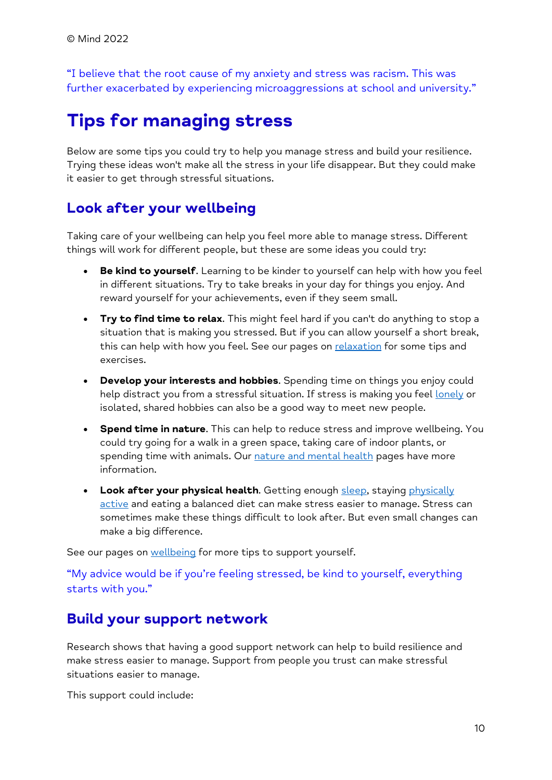"I believe that the root cause of my anxiety and stress was racism. This was further exacerbated by experiencing microaggressions at school and university."

## **Tips for managing stress**

Below are some tips you could try to help you manage stress and build your resilience. Trying these ideas won't make all the stress in your life disappear. But they could make it easier to get through stressful situations.

#### **Look after your wellbeing**

Taking care of your wellbeing can help you feel more able to manage stress. Different things will work for different people, but these are some ideas you could try:

- **Be kind to yourself**. Learning to be kinder to yourself can help with how you feel in different situations. Try to take breaks in your day for things you enjoy. And reward yourself for your achievements, even if they seem small.
- **Try to find time to relax**. This might feel hard if you can't do anything to stop a situation that is making you stressed. But if you can allow yourself a short break, this can help with how you feel. See our pages on [relaxation](https://www.mind.org.uk/information-support/tips-for-everyday-living/relaxation/) for some tips and exercises.
- **Develop your interests and hobbies**. Spending time on things you enjoy could help distract you from a stressful situation. If stress is making you feel [lonely](https://www.mind.org.uk/information-support/tips-for-everyday-living/loneliness/) or isolated, shared hobbies can also be a good way to meet new people.
- **Spend time in nature**. This can help to reduce stress and improve wellbeing. You could try going for a walk in a green space, taking care of indoor plants, or spending time with animals. Our [nature and mental health](https://www.mind.org.uk/information-support/tips-for-everyday-living/nature-and-mental-health/) pages have more information.
- Look after your physical health. Getting enough [sleep,](https://www.mind.org.uk/information-support/types-of-mental-health-problems/sleep-problems/) staying physically [active](https://www.mind.org.uk/information-support/tips-for-everyday-living/physical-activity-and-your-mental-health/) and eating a balanced diet can make stress easier to manage. Stress can sometimes make these things difficult to look after. But even small changes can make a big difference.

See our pages on [wellbeing](https://www.mind.org.uk/information-support/tips-for-everyday-living/wellbeing/) for more tips to support yourself.

"My advice would be if you're feeling stressed, be kind to yourself, everything starts with you."

#### **Build your support network**

Research shows that having a good support network can help to build resilience and make stress easier to manage. Support from people you trust can make stressful situations easier to manage.

This support could include: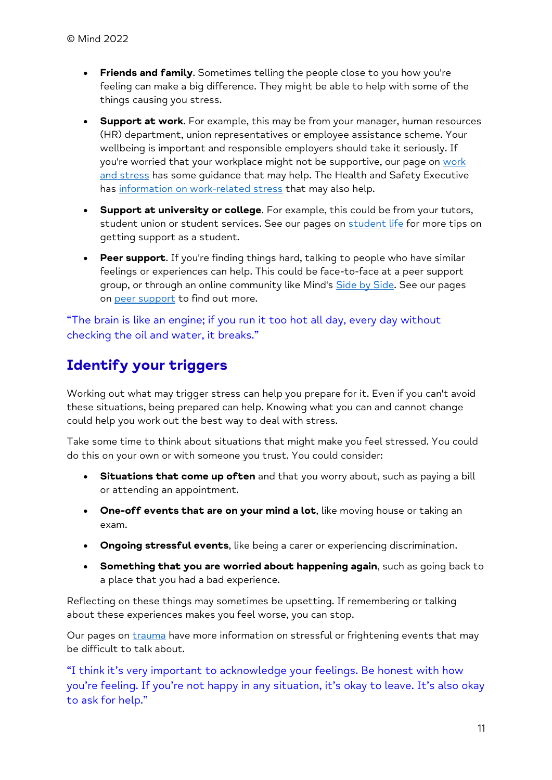- **Friends and family**. Sometimes telling the people close to you how you're feeling can make a big difference. They might be able to help with some of the things causing you stress.
- **Support at work**. For example, this may be from your manager, human resources (HR) department, union representatives or employee assistance scheme. Your wellbeing is important and responsible employers should take it seriously. If you're worried that your workplace might not be supportive, our page on work [and stress](https://www.mind.org.uk/information-support/tips-for-everyday-living/how-to-be-mentally-healthy-at-work/work-and-stress/) has some quidance that may help. The Health and Safety Executive has [information on work-related stress](https://www.hse.gov.uk/stress/) that may also help.
- **Support at university or college**. For example, this could be from your tutors, student union or student services. See our pages on [student life](https://www.mind.org.uk/information-support/tips-for-everyday-living/student-life/) for more tips on getting support as a student.
- **Peer support**. If you're finding things hard, talking to people who have similar feelings or experiences can help. This could be face-to-face at a peer support group, or through an online community like Mind's [Side by Side.](https://www.mind.org.uk/information-support/side-by-side-our-online-community/) See our pages on [peer support](https://www.mind.org.uk/information-support/drugs-and-treatments/peer-support/) to find out more.

"The brain is like an engine; if you run it too hot all day, every day without checking the oil and water, it breaks."

#### **Identify your triggers**

Working out what may trigger stress can help you prepare for it. Even if you can't avoid these situations, being prepared can help. Knowing what you can and cannot change could help you work out the best way to deal with stress.

Take some time to think about situations that might make you feel stressed. You could do this on your own or with someone you trust. You could consider:

- **Situations that come up often** and that you worry about, such as paying a bill or attending an appointment.
- **One-off events that are on your mind a lot**, like moving house or taking an exam.
- **Ongoing stressful events**, like being a carer or experiencing discrimination.
- **Something that you are worried about happening again**, such as going back to a place that you had a bad experience.

Reflecting on these things may sometimes be upsetting. If remembering or talking about these experiences makes you feel worse, you can stop.

Our pages on *[trauma](https://www.mind.org.uk/information-support/types-of-mental-health-problems/trauma/)* have more information on stressful or frightening events that may be difficult to talk about.

"I think it's very important to acknowledge your feelings. Be honest with how you're feeling. If you're not happy in any situation, it's okay to leave. It's also okay to ask for help."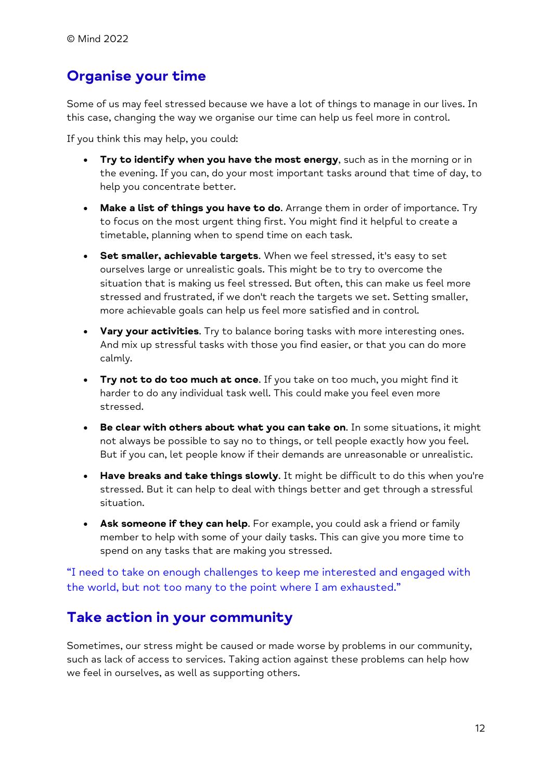#### **Organise your time**

Some of us may feel stressed because we have a lot of things to manage in our lives. In this case, changing the way we organise our time can help us feel more in control.

If you think this may help, you could:

- **Try to identify when you have the most energy**, such as in the morning or in the evening. If you can, do your most important tasks around that time of day, to help you concentrate better.
- **Make a list of things you have to do**. Arrange them in order of importance. Try to focus on the most urgent thing first. You might find it helpful to create a timetable, planning when to spend time on each task.
- **Set smaller, achievable targets**. When we feel stressed, it's easy to set ourselves large or unrealistic goals. This might be to try to overcome the situation that is making us feel stressed. But often, this can make us feel more stressed and frustrated, if we don't reach the targets we set. Setting smaller, more achievable goals can help us feel more satisfied and in control.
- **Vary your activities**. Try to balance boring tasks with more interesting ones. And mix up stressful tasks with those you find easier, or that you can do more calmly.
- **Try not to do too much at once**. If you take on too much, you might find it harder to do any individual task well. This could make you feel even more stressed.
- **Be clear with others about what you can take on**. In some situations, it might not always be possible to say no to things, or tell people exactly how you feel. But if you can, let people know if their demands are unreasonable or unrealistic.
- **Have breaks and take things slowly**. It might be difficult to do this when you're stressed. But it can help to deal with things better and get through a stressful situation.
- **Ask someone if they can help**. For example, you could ask a friend or family member to help with some of your daily tasks. This can give you more time to spend on any tasks that are making you stressed.

"I need to take on enough challenges to keep me interested and engaged with the world, but not too many to the point where I am exhausted."

#### **Take action in your community**

Sometimes, our stress might be caused or made worse by problems in our community, such as lack of access to services. Taking action against these problems can help how we feel in ourselves, as well as supporting others.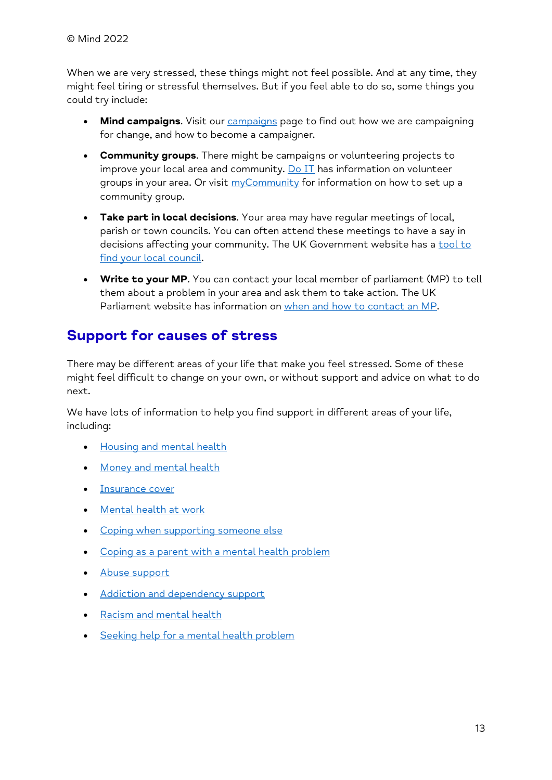When we are very stressed, these things might not feel possible. And at any time, they might feel tiring or stressful themselves. But if you feel able to do so, some things you could try include:

- **Mind campaigns**. Visit our [campaigns](https://www.mind.org.uk/news-campaigns/campaigns/) page to find out how we are campaigning for change, and how to become a campaigner.
- **Community groups**. There might be campaigns or volunteering projects to improve your local area and community.  $Do II$  has information on volunteer groups in your area. Or visit [myCommunity](https://mycommunity.org.uk/) for information on how to set up a community group.
- **Take part in local decisions**. Your area may have regular meetings of local, parish or town councils. You can often attend these meetings to have a say in decisions affecting your community. The UK Government website has a tool to [find your local council.](https://www.gov.uk/find-local-council)
- **Write to your MP**. You can contact your local member of parliament (MP) to tell them about a problem in your area and ask them to take action. The UK Parliament website has information on [when and how to contact an MP.](https://www.parliament.uk/get-involved/contact-an-mp-or-lord/contact-your-mp/)

#### **Support for causes of stress**

There may be different areas of your life that make you feel stressed. Some of these might feel difficult to change on your own, or without support and advice on what to do next.

We have lots of information to help you find support in different areas of your life, including:

- [Housing and mental health](https://www.mind.org.uk/information-support/guides-to-support-and-services/housing/)
- [Money and mental health](https://www.mind.org.uk/information-support/tips-for-everyday-living/money-and-mental-health/)
- [Insurance cover](https://www.mind.org.uk/information-support/guides-to-support-and-services/insurance-cover-and-mental-health/)
- [Mental health at work](https://www.mind.org.uk/information-support/tips-for-everyday-living/how-to-be-mentally-healthy-at-work/work-and-mental-health/)
- [Coping when supporting someone else](https://www.mind.org.uk/information-support/helping-someone-else/carers-friends-family-coping-support/)
- [Coping as a parent with a mental health problem](https://www.mind.org.uk/information-support/tips-for-everyday-living/parenting-with-a-mental-health-problem/parenting-and-mental-health/)
- [Abuse support](https://www.mind.org.uk/information-support/guides-to-support-and-services/abuse/)
- [Addiction and dependency support](https://www.mind.org.uk/information-support/guides-to-support-and-services/addiction-and-dependency/)
- [Racism and mental health](https://www.mind.org.uk/information-support/tips-for-everyday-living/racism-and-mental-health/)
- [Seeking help for a mental health problem](https://www.mind.org.uk/information-support/guides-to-support-and-services/seeking-help-for-a-mental-health-problem/)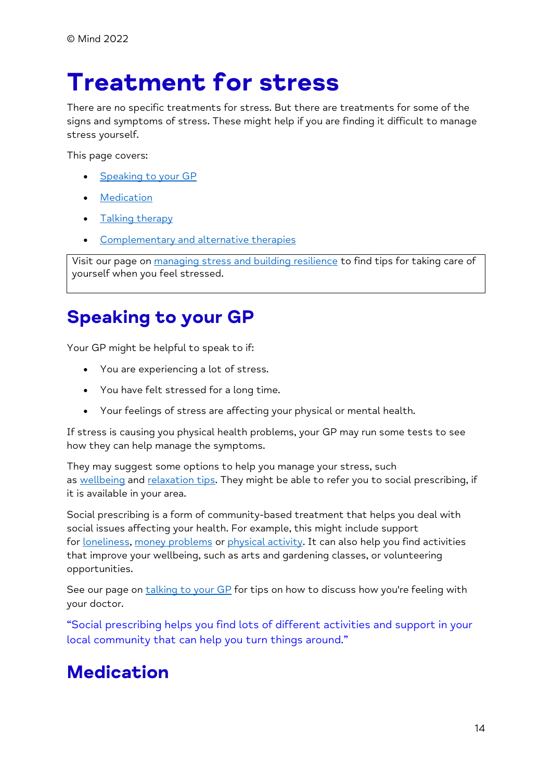## <span id="page-13-0"></span>**Treatment for stress**

There are no specific treatments for stress. But there are treatments for some of the signs and symptoms of stress. These might help if you are finding it difficult to manage stress yourself.

This page covers:

- [Speaking to your GP](https://www.mind.org.uk/information-support/types-of-mental-health-problems/stress/treatment-for-stress/#SpeakingToYourGP)
- **[Medication](https://www.mind.org.uk/information-support/types-of-mental-health-problems/stress/treatment-for-stress/#medication)**
- Talking [therapy](https://www.mind.org.uk/information-support/types-of-mental-health-problems/stress/treatment-for-stress/#TalkingTherapy)
- [Complementary and alternative therapies](https://www.mind.org.uk/information-support/types-of-mental-health-problems/stress/treatment-for-stress/#ComplementaryAndAlternativeTherapies)

Visit our page on [managing stress and building resilience](https://www.mind.org.uk/information-support/types-of-mental-health-problems/stress/managing-stress-and-building-resilience/) to find tips for taking care of yourself when you feel stressed.

## **Speaking to your GP**

Your GP might be helpful to speak to if:

- You are experiencing a lot of stress.
- You have felt stressed for a long time.
- Your feelings of stress are affecting your physical or mental health.

If stress is causing you physical health problems, your GP may run some tests to see how they can help manage the symptoms.

They may suggest some options to help you manage your stress, such as [wellbeing](https://www.mind.org.uk/information-support/tips-for-everyday-living/wellbeing/) and [relaxation tips.](https://www.mind.org.uk/information-support/tips-for-everyday-living/relaxation/) They might be able to refer you to social prescribing, if it is available in your area.

Social prescribing is a form of community-based treatment that helps you deal with social issues affecting your health. For example, this might include support for [loneliness,](https://www.mind.org.uk/information-support/tips-for-everyday-living/loneliness/) money [problems](https://www.mind.org.uk/information-support/tips-for-everyday-living/money-and-mental-health/) or [physical activity.](https://www.mind.org.uk/information-support/tips-for-everyday-living/physical-activity-and-your-mental-health/) It can also help you find activities that improve your wellbeing, such as arts and gardening classes, or volunteering opportunities.

See our page on [talking to your GP](https://www.mind.org.uk/information-support/guides-to-support-and-services/seeking-help-for-a-mental-health-problem/talking-to-your-gp/) for tips on how to discuss how you're feeling with your doctor.

"Social prescribing helps you find lots of different activities and support in your local community that can help you turn things around."

## **Medication**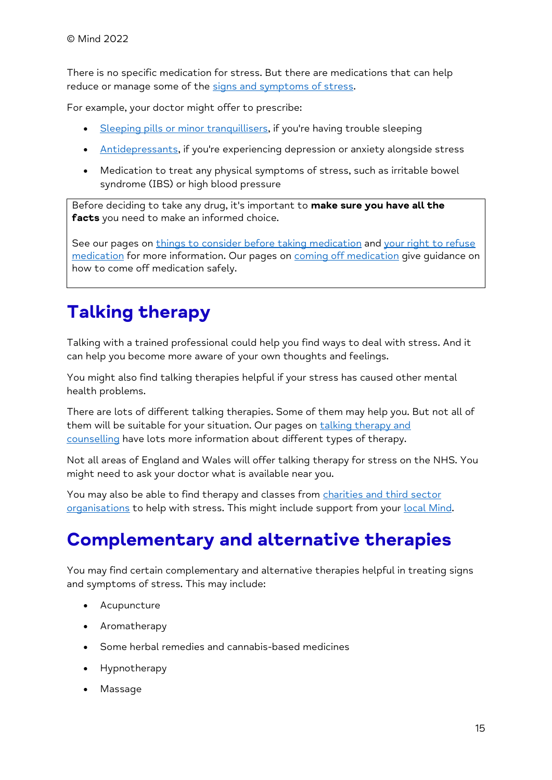There is no specific medication for stress. But there are medications that can help reduce or manage some of the [signs and symptoms of stress.](https://www.mind.org.uk/information-support/types-of-mental-health-problems/stress/signs-and-symptoms-of-stress/)

For example, your doctor might offer to prescribe:

- [Sleeping pills or minor tranquillisers,](https://www.mind.org.uk/information-support/drugs-and-treatments/sleeping-pills-and-minor-tranquillisers/) if you're having trouble sleeping
- [Antidepressants,](https://www.mind.org.uk/information-support/drugs-and-treatments/antidepressants/) if you're experiencing depression or anxiety alongside stress
- Medication to treat any physical symptoms of stress, such as irritable bowel syndrome (IBS) or high blood pressure

Before deciding to take any drug, it's important to **make sure you have all the facts** you need to make an informed choice.

See our pages on [things to consider before taking medication](https://www.mind.org.uk/information-support/drugs-and-treatments/medication/before-taking-medication/) and your right to refuse [medication](https://www.mind.org.uk/information-support/drugs-and-treatments/medication/your-right-to-refuse-medication/) for more information. Our pages on [coming off medication](https://www.mind.org.uk/information-support/drugs-and-treatments/medication-coming-off/) give guidance on how to come off medication safely.

## **Talking therapy**

Talking with a trained professional could help you find ways to deal with stress. And it can help you become more aware of your own thoughts and feelings.

You might also find talking therapies helpful if your stress has caused other mental health problems.

There are lots of different talking therapies. Some of them may help you. But not all of them will be suitable for your situation. Our pages on [talking therapy and](https://www.mind.org.uk/information-support/drugs-and-treatments/talking-therapy-and-counselling/)  [counselling](https://www.mind.org.uk/information-support/drugs-and-treatments/talking-therapy-and-counselling/) have lots more information about different types of therapy.

Not all areas of England and Wales will offer talking therapy for stress on the NHS. You might need to ask your doctor what is available near you.

You may also be able to find therapy and classes from charities and third sector [organisations](https://www.mind.org.uk/information-support/drugs-and-treatments/talking-therapy-and-counselling/how-to-find-a-therapist/#CharityAndThirdSectorTherapists) to help with stress. This might include support from your [local Mind.](https://www.mind.org.uk/information-support/local-minds/)

## **Complementary and alternative therapies**

You may find certain complementary and alternative therapies helpful in treating signs and symptoms of stress. This may include:

- **Acupuncture**
- Aromatherapy
- Some herbal remedies and cannabis-based medicines
- Hypnotherapy
- Massage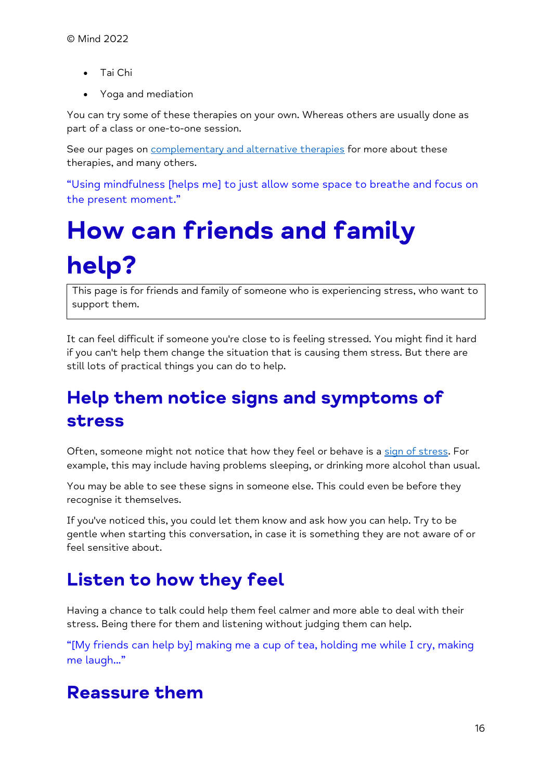- Tai Chi
- Yoga and mediation

You can try some of these therapies on your own. Whereas others are usually done as part of a class or one-to-one session.

See our pages on [complementary and alternative therapies](https://www.mind.org.uk/information-support/drugs-and-treatments/complementary-and-alternative-therapies/) for more about these therapies, and many others.

"Using mindfulness [helps me] to just allow some space to breathe and focus on the present moment."

# <span id="page-15-0"></span>**How can friends and family help?**

This page is for friends and family of someone who is experiencing stress, who want to support them.

It can feel difficult if someone you're close to is feeling stressed. You might find it hard if you can't help them change the situation that is causing them stress. But there are still lots of practical things you can do to help.

## **Help them notice signs and symptoms of stress**

Often, someone might not notice that how they feel or behave is a [sign of stress.](https://www.mind.org.uk/information-support/types-of-mental-health-problems/stress/signs-and-symptoms-of-stress/) For example, this may include having problems sleeping, or drinking more alcohol than usual.

You may be able to see these signs in someone else. This could even be before they recognise it themselves.

If you've noticed this, you could let them know and ask how you can help. Try to be gentle when starting this conversation, in case it is something they are not aware of or feel sensitive about.

## **Listen to how they feel**

Having a chance to talk could help them feel calmer and more able to deal with their stress. Being there for them and listening without judging them can help.

"[My friends can help by] making me a cup of tea, holding me while I cry, making me laugh..."

## **Reassure them**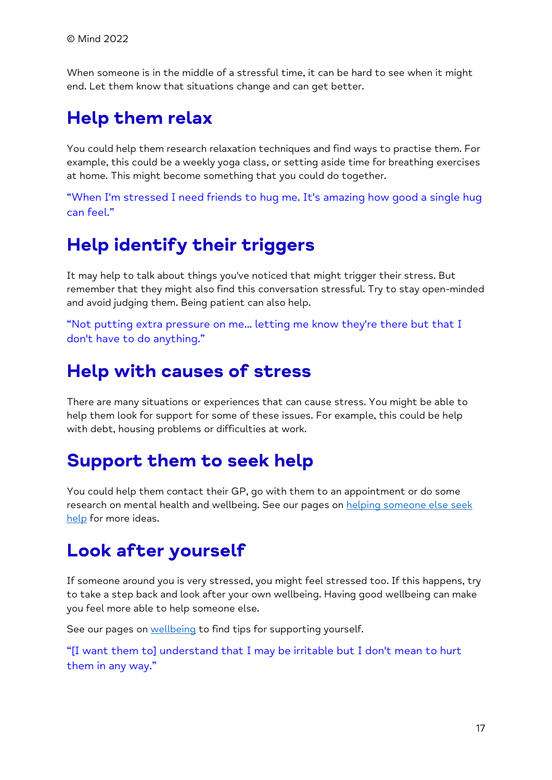When someone is in the middle of a stressful time, it can be hard to see when it might end. Let them know that situations change and can get better.

## **Help them relax**

You could help them research relaxation techniques and find ways to practise them. For example, this could be a weekly yoga class, or setting aside time for breathing exercises at home. This might become something that you could do together.

"When I'm stressed I need friends to hug me. It's amazing how good a single hug can feel."

### **Help identify their triggers**

It may help to talk about things you've noticed that might trigger their stress. But remember that they might also find this conversation stressful. Try to stay open-minded and avoid judging them. Being patient can also help.

"Not putting extra pressure on me... letting me know they're there but that I don't have to do anything."

### **Help with causes of stress**

There are many situations or experiences that can cause stress. You might be able to help them look for support for some of these issues. For example, this could be help with debt, housing problems or difficulties at work.

### **Support them to seek help**

You could help them contact their GP, go with them to an appointment or do some research on mental health and wellbeing. See our pages on helping someone else seek [help](https://www.mind.org.uk/information-support/guides-to-support-and-services/seeking-help-for-a-mental-health-problem/helping-someone-else-seek-help/) for more ideas.

## **Look after yourself**

If someone around you is very stressed, you might feel stressed too. If this happens, try to take a step back and look after your own wellbeing. Having good wellbeing can make you feel more able to help someone else.

See our pages on [wellbeing](https://www.mind.org.uk/information-support/tips-for-everyday-living/wellbeing/) to find tips for supporting yourself.

"[I want them to] understand that I may be irritable but I don't mean to hurt them in any way."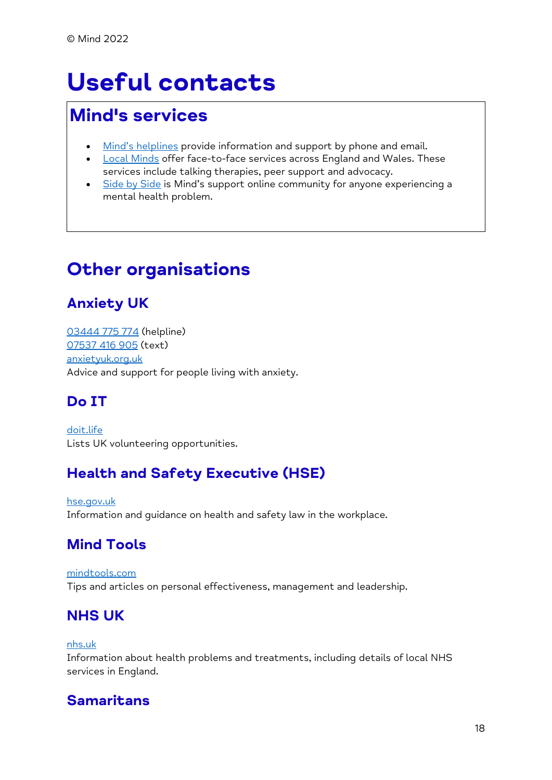## <span id="page-17-0"></span>**Useful contacts**

### **Mind's services**

- [Mind's helplines](https://www.mind.org.uk/information-support/helplines/) provide information and support by phone and email.
- **[Local Minds](https://www.mind.org.uk/about-us/local-minds/) offer face-to-face services across England and Wales. These** services include talking therapies, peer support and advocacy.
- [Side by Side](https://www.mind.org.uk/information-support/side-by-side-our-online-community/) is Mind's support online community for anyone experiencing a mental health problem.

## **Other organisations**

#### **Anxiety UK**

[03444 775 774](tel:+44-3444-775-774) (helpline) [07537 416 905](sms:+44-7537-416-905) (text) [anxietyuk.org.uk](https://www.anxietyuk.org.uk/) Advice and support for people living with anxiety.

#### **Do IT**

[doit.life](https://www.doit.life/) Lists UK volunteering opportunities.

#### **Health and Safety Executive (HSE)**

[hse.gov.uk](https://www.hse.gov.uk/) Information and guidance on health and safety law in the workplace.

#### **Mind Tools**

#### [mindtools.com](https://www.mindtools.com/) Tips and articles on personal effectiveness, management and leadership.

#### **NHS UK**

#### [nhs.uk](https://www.nhs.uk/)

Information about health problems and treatments, including details of local NHS services in England.

#### **Samaritans**